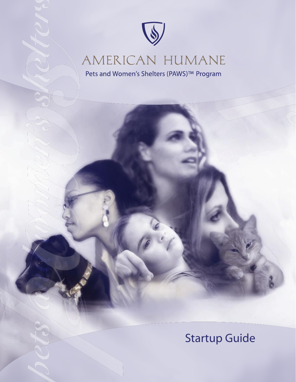

# AMERICAN HUMANE

Pets and Women's Shelters (PAWS)™ Program

# Startup Guide

 $\sqrt{ }$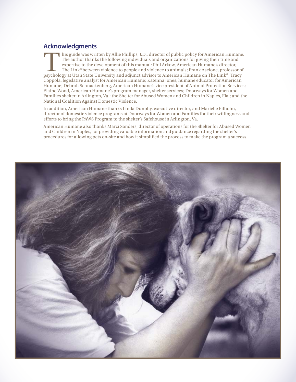# **Acknowledgments**

This guide was written by Allie Phillips, J.D., director of public policy for American Humane.<br>The author thanks the following individuals and organizations for giving their time and expertise to the development of this ma The author thanks the following individuals and organizations for giving their time and expertise to the development of this manual: Phil Arkow, American Humane's director, The Link® between violence to people and violence to animals; Frank Ascione, professor of psychology at Utah State University and adjunct advisor to American Humane on The Link®; Tracy Coppola, legislative analyst for American Humane; Katenna Jones, humane educator for American Humane; Debrah Schnackenberg, American Humane's vice president of Animal Protection Services; Elaine Wood, American Humane's program manager, shelter services; Doorways for Women and Families shelter in Arlington, Va.; the Shelter for Abused Women and Children in Naples, Fla.; and the National Coalition Against Domestic Violence.

In addition, American Humane thanks Linda Dunphy, executive director, and Marielle Filholm, director of domestic violence programs at Doorways for Women and Families for their willingness and efforts to bring the PAWS Program to the shelter's Safehouse in Arlington, Va.

American Humane also thanks Marci Sanders, director of operations for the Shelter for Abused Women and Children in Naples, for providing valuable information and guidance regarding the shelter's procedures for allowing pets on-site and how it simplified the process to make the program a success.

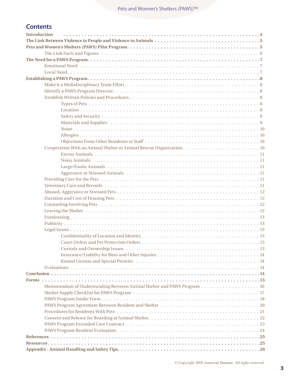# **Contents**

| <b>Introduction</b>                                                    |
|------------------------------------------------------------------------|
|                                                                        |
|                                                                        |
|                                                                        |
|                                                                        |
|                                                                        |
|                                                                        |
|                                                                        |
|                                                                        |
|                                                                        |
|                                                                        |
|                                                                        |
|                                                                        |
|                                                                        |
|                                                                        |
|                                                                        |
|                                                                        |
|                                                                        |
|                                                                        |
|                                                                        |
|                                                                        |
|                                                                        |
|                                                                        |
|                                                                        |
|                                                                        |
|                                                                        |
|                                                                        |
|                                                                        |
|                                                                        |
|                                                                        |
|                                                                        |
|                                                                        |
|                                                                        |
|                                                                        |
|                                                                        |
|                                                                        |
|                                                                        |
|                                                                        |
|                                                                        |
|                                                                        |
| Memorandum of Understanding Between Animal Shelter and PAWS Program 16 |
|                                                                        |
|                                                                        |
|                                                                        |
|                                                                        |
|                                                                        |
|                                                                        |
|                                                                        |
|                                                                        |
|                                                                        |
|                                                                        |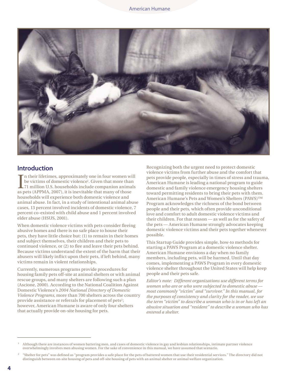

## **Introduction**

In their lifetimes, approximately one in four women will be victims of domestic violence<sup>1</sup>. Given that more than 71 million U.S. households include companion anima as pets (APPMA, 2007), it is inevitable that many of tho n their lifetimes, approximately one in four women will be victims of domestic violence<sup>1</sup>. Given that more than 71 million U.S. households include companion animals households will experience both domestic violence and animal abuse. In fact, in a study of intentional animal abuse cases, 13 percent involved incidents of domestic violence, 7 percent co-existed with child abuse and 1 percent involved elder abuse (HSUS, 2001).

When domestic violence victims with pets consider fleeing abusive homes and there is no safe place to house their pets, they have little choice but: (1) to remain in their homes and subject themselves, their children and their pets to continued violence, or (2) to flee and leave their pets behind. Because victims understand the extent of the harm that their abusers will likely inflict upon their pets, if left behind, many victims remain in violent relationships.

Currently, numerous programs provide procedures for housing family pets off-site at animal shelters or with animal rescue groups, and many shelters are following such a plan (Ascione, 2000). According to the National Coalition Against Domestic Violence's *2004 National Directory of Domestic Violence Programs*, more than 700 shelters across the country provide assistance or referrals for placement of pets<sup>2</sup>; however, American Humane is aware of only four shelters that actually provide on-site housing for pets.

Recognizing both the urgent need to protect domestic violence victims from further abuse and the comfort that pets provide people, especially in times of stress and trauma, American Humane is leading a national program to guide domestic and family violence emergency housing shelters toward permitting residents to bring their pets with them. American Humane's Pets and Women's Shelters (PAWS)™ Program acknowledges the richness of the bond between people and their pets, which often provide unconditional love and comfort to adult domestic violence victims and their children. For that reason — as well as for the safety of the pets — American Humane strongly advocates keeping domestic violence victims and their pets together whenever possible.

This Startup Guide provides simple, how-to methods for starting a PAWS Program at a domestic violence shelter. American Humane envisions a day when no family members, including pets, will be harmed. Until that day comes, implementing a PAWS Program in every domestic violence shelter throughout the United States will help keep people and their pets safe.

*Editor's note: Different organizations use different terms for women who are or who were subjected to domestic abuse most commonly "victim" and "survivor." In this manual, for the purposes of consistency and clarity for the reader, we use the term "victim" to describe a woman who is in or has left an abusive situation and "resident" to describe a woman who has entered a shelter.*

<sup>1</sup> Although there are instances of women battering men, and cases of domestic violence in gay and lesbian relationships, intimate partner violence overwhelmingly involves men abusing women. For the sake of convenience in this manual, we have assumed that scenario.

<sup>2</sup> "Shelter for pets" was defined as "program provides a safe place for the pets of battered women that use their residential services." The directory did not distinguish between on-site housing of pets and off-site housing of pets with an animal shelter or animal welfare organization.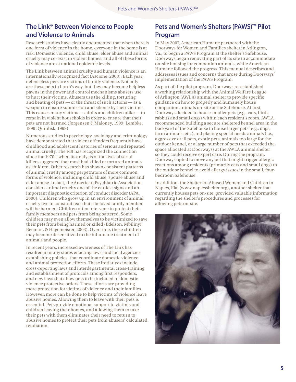# **The Link® Between Violence to People and Violence to Animals**

Research studies have clearly documented that when there is one form of violence in the home, everyone in the home is at risk. Domestic violence, child abuse, elder abuse and animal cruelty may co-exist in violent homes, and all of these forms of violence are at national epidemic levels.

The Link between animal cruelty and human violence is an internationally recognized fact (Ascione, 2008). Each year, defenseless pets are victims of family violence. Not only are these pets in harm's way, but they may become helpless pawns in the power and control mechanisms abusers use to hurt their victims. Abusers use the killing, torturing and beating of pets — or the threat of such actions — as a weapon to ensure submission and silence by their victims. This causes many victims — adults and children alike — to remain in violent households in order to ensure that their pets are not harmed (Jorgensen & Maloney, 1999; Lembke, 1999; Quinlisk, 1999).

Numerous studies in psychology, sociology and criminology have demonstrated that violent offenders frequently have childhood and adolescent histories of serious and repeated animal cruelty. The FBI has recognized the connection since the 1970s, when its analysis of the lives of serial killers suggested that most had killed or tortured animals as children. Other research has shown consistent patterns of animal cruelty among perpetrators of more common forms of violence, including child abuse, spouse abuse and elder abuse. In fact, the American Psychiatric Association considers animal cruelty one of the earliest signs and an important diagnostic criterion of conduct disorder (APA, 2000). Children who grow up in an environment of animal cruelty live in constant fear that a beloved family member will be harmed. Children often intervene to protect their family members and pets from being battered. Some children may even allow themselves to be victimized to save their pets from being harmed or killed (Edelson, Mbilinyi, Beeman, & Hagemeister, 2003). Over time, these children may become desensitized to the inhumane treatment of animals and people.

In recent years, increased awareness of The Link has resulted in many states enacting laws, and local agencies establishing policies, that coordinate domestic violence and animal protection efforts. These initiatives include cross-reporting laws and interdepartmental cross-training and establishment of protocols among first responders, and new laws that allow pets to be included in domestic violence protective orders. These efforts are providing more protection for victims of violence and their families. However, more can be done to help victims of violence leave abusive homes. Allowing them to leave with their pets is essential. Pets provide emotional support to victims and children leaving their homes, and allowing them to take their pets with them eliminates their need to return to abusive homes to protect their pets from abusers' calculated retaliation.

## **Pets and Women's Shelters (PAWS)™ Pilot Program**

In May 2007, American Humane partnered with the Doorways for Women and Families shelter in Arlington, Va., to begin a PAWS Program at the shelter's Safehouse. Doorways began renovating part of its site to accommodate on-site housing for companion animals, while American Humane followed the progress. This manual describes and addresses issues and concerns that arose during Doorways' implementation of the PAWS Program.

As part of the pilot program, Doorways re-established a working relationship with the Animal Welfare League of Arlington (AWLA) animal shelter to provide specific guidance on how to properly and humanely house companion animals on-site at the Safehouse. At first, Doorways decided to house smaller pets (e.g., cats, birds, rabbits and small dogs) within each resident's room. AWLA recommended building a secure sheltered kennel area in the backyard of the Safehouse to house larger pets (e.g., dogs, farm animals, etc.) and placing special needs animals (i.e., aggressive or ill pets, exotic pets, animals too large for the outdoor kennel, or a large number of pets that exceeded the space allocated at Doorways) at the AWLA animal shelter so they could receive expert care. During the program, Doorways opted to move any pet that might trigger allergic reactions among residents (primarily cats and small dogs) to the outdoor kennel to avoid allergy issues in the small, fourbedroom Safehouse.

In addition, the Shelter for Abused Women and Children in Naples, Fla. (www.naplesshelter.org), another shelter that currently houses pets on-site, provided valuable information regarding the shelter's procedures and processes for allowing pets on-site.

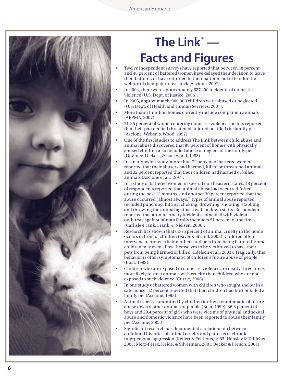

# **The Link ® — Facts and Figures**

- Twelve independent surveys have reported that between 18 percent and 48 percent of battered women have delayed their decision to leave their batterer, or have returned to their batterer, out of fear for the welfare of their pets or livestock (Ascione, 2007).
- In 2004, there were approximately 627,400 incidents of domestic violence (U.S. Dept. of Justice, 2006).
- In 2005, approximately 900,000 children were abused or neglected (U.S. Dept. of Health and Human Services, 2007).
- More than 71 million homes currently include companion animals (APPMA, 2007).
- 71-85 percent of women entering domestic violence shelters reported that their partner had threatened, injured or killed the family pet (Ascione, Weber, & Wood, 1997).
- One of the first studies to address The Link between child abuse and animal abuse discovered that 88 percent of homes with physically abused children also included abuse or neglect of the family pet (DeViney, Dickert, & Lockwood, 1983).
- In a nationwide study, more than 71 percent of battered women reported that their abusers had harmed, killed or threatened animals, and 32 percent reported that their children had harmed or killed animals (Ascione et al., 1997).
- In a study of battered women in several northeastern states, 48 percent of respondents reported that animal abuse had occurred "often" during the past 12 months, and another 30 percent reported that the abuse occurred "almost always." Types of animal abuse reported included punching, hitting, choking, drowning, shooting, stabbing and throwing the animal against a wall or down stairs. Respondents reported that animal cruelty incidents coincided with violent outbursts against human family members 51 percent of the time (Carlisle-Frank, Frank, & Nielsen, 2006).
- Research has shown that 62-76 percent of animal cruelty in the home occurs in front of children (Faver & Strand, 2003). Children often intervene to protect their mothers and pets from being battered. Some children may even allow themselves to be victimized to save their pets from being harmed or killed (Edelson et al., 2003). Tragically, this behavior is often symptomatic of children's future abuse of people (Boat, 1999).
- Children who are exposed to domestic violence are nearly three times more likely to treat animals with cruelty than children who are not exposed to such violence (Currie, 2006).
- In one study of battered women with children who sought shelter in a safe house, 32 percent reported that their children had hurt or killed a family pet (Ascione, 1998).
- Animal cruelty committed by children is often symptomatic of future abuse toward other animals or people (Boat, 1999): 36.8 percent of boys and 29.4 percent of girls who were victims of physical and sexual abuse and domestic violence have been reported to abuse their family pet (Ascione, 2005).
- • Significant research has documented a relationship between childhood histories of animal cruelty and patterns of chronic interpersonal aggression (Kellert & Felthous, 1985; Hensley & Tallichet, 2005; Merz-Perez, Heide, & Silverman, 2001; Becker & French, 2004).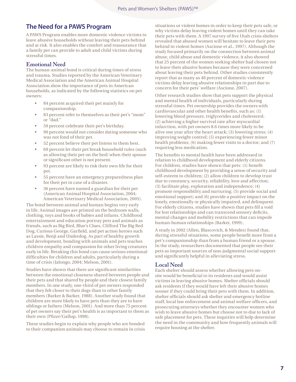## **The Need for a PAWS Program**

A PAWS Program enables more domestic violence victims to leave abusive households without leaving their pets behind and at risk. It also enables the comfort and reassurance that a family pet can provide to adult and child victims during stressful times.

#### **Emotional Need**

The human-animal bond is critical during times of stress and trauma. Studies reported by the American Veterinary Medical Association and the American Animal Hospital Association show the importance of pets in American households, as indicated by the following statistics on pet owners:

- 84 percent acquired their pet mainly for companionship.
- 83 percent refer to themselves as their pet's "mom" or "dad."
- 59 percent celebrate their pet's birthday.
- 90 percent would not consider dating someone who was not fond of their pet.
- 52 percent believe their pet listens to them best.
- 69 percent let their pet break household rules (such as allowing their pet on the bed) when their spouse or significant other is not present.
- 93 percent are likely to risk their own life for their pet.
- 55 percent have an emergency preparedness plan for their pet in case of a disaster.
- 36 percent have named a guardian for their pet (American Animal Hospital Association, 2004; American Veterinary Medical Association, 2005).

The bond between animal and human begins very early in life. Animal images are printed on the bedroom walls, clothing, toys and books of babies and infants. Childhood entertainment and education portray pets and animals as friends, such as Big Bird, Blue's Clues, Clifford The Big Red Dog, Curious George, Garfield, and pet action heroes such as Lassie, Benji and Underdog. As part of healthy growth and development, bonding with animals and pets teaches children empathy and compassion for other living creatures early in life. Breaking this bond can cause serious emotional difficulties for children and adults, particularly during a time of crisis (Jalongo, 2004; Melson, 2001).

Studies have shown that there are significant similarities between the emotional closeness shared between people and their pets and that shared by people and their closest family members. In one study, one-third of pet owners responded that they felt closer to their dogs than to other family members (Barker & Barker, 1988). Another study found that children are more likely to have pets than they are to have siblings or fathers (Melson, 2001). And more than 75 percent of pet owners say their pet's health is as important to them as their own (Pfizer/Gallup, 1998).

These studies begin to explain why people who are bonded to their companion animals may choose to remain in crisis

situations or violent homes in order to keep their pets safe, or why victims delay leaving violent homes until they can take their pets with them. A 1997 survey of five Utah crisis shelters revealed that abused women will hesitate to leave their pets behind in violent homes (Ascione et al., 1997). Although the study focused primarily on the connection between animal abuse, child abuse and domestic violence, it also showed that 25 percent of the women seeking shelter had chosen not to leave their abusive homes because they were concerned about leaving their pets behind. Other studies consistently report that as many as 48 percent of domestic violence victims delay leaving abusive relationships in part due to concern for their pets' welfare (Ascione, 2007).

Other research studies show that pets support the physical and mental health of individuals, particularly during stressful times. Pet ownership provides the owners with cardiovascular and other health benefits, such as: (1) lowering blood pressure, triglycerides and cholesterol; (2) achieving a higher survival rate after myocardial infarction, with pet owners 8.6 times more likely to be alive one year after the heart attack; (3) lowering stress; (4) improving weight control; (5) experiencing fewer minor health problems; (6) making fewer visits to a doctor; and (7) requiring less medication.

The benefits to mental health have been addressed in relation to childhood development and elderly citizens. For children, studies have shown that pets: (1) benefit childhood development by providing a sense of security and self-esteem to children; (2) allow children to develop trust due to constancy, security, reliability, love and affection; (3) facilitate play, exploration and independence; (4) promote responsibility and nurturing; (5) provide social and emotional support; and (6) provide a positive impact on the lonely, emotionally or physically impaired, and delinquent. For elderly citizens, studies have shown that pets fill a void for lost relationships and can transcend sensory deficits, mental changes and mobility restrictions that can impede human-human relationships (Barker, 1999).

A study in 2002 (Allen, Blascovich, & Mendes) found that, during stressful situations, some people benefit more from a pet's companionship than from a human friend or a spouse. In the study, researchers documented that people see their pets as important sources of non-judgmental social support and significantly helpful in alleviating stress.

#### **Local Need**

Each shelter should assess whether allowing pets onsite would be beneficial to its residents and would assist victims in leaving abusive homes. Shelter officials should ask residents if they would have left their abusive homes sooner if they could bring their pets with them. In addition, shelter officials should ask shelter and emergency hotline staff, local law enforcement and animal welfare officers, and prosecuting attorneys whether they encounter women who wish to leave abusive homes but choose not to due to lack of safe placement for pets. These inquiries will help determine the need in the community and how frequently animals will require housing at the shelter.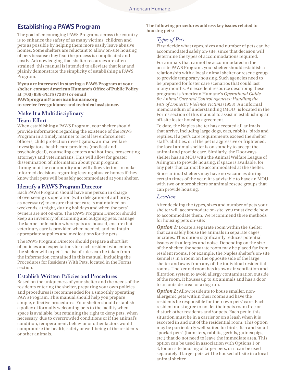# **Establishing a PAWS Program**

The goal of encouraging PAWS Programs across the country is to enhance the safety of as many victims, children and pets as possible by helping them more easily leave abusive homes. Some shelters are reluctant to allow on-site housing of pets because they fear the process is complicated and costly. Acknowledging that shelter resources are often strained, this manual is intended to alleviate that fear and plainly demonstrate the simplicity of establishing a PAWS Program.

**If you are interested in starting a PAWS Program at your shelter, contact American Humane's Office of Public Policy at (703) 836-PETS (7387) or email PAWSprogram@americanhumane org to receive free guidance and technical assistance** 

## **Make It a Multidisciplinary Team Effort**

When establishing a PAWS Program, your shelter should provide information regarding the existence of the PAWS Program in a timely manner to local law enforcement officers, child protection investigators, animal welfare investigators, health care providers (medical and psychological), counseling centers and hotlines, prosecuting attorneys and veterinarians. This will allow for greater dissemination of information about your program throughout the community and will allow victims to make informed decisions regarding leaving abusive homes if they know their pets will be safely accommodated at your shelter.

## **Identify a PAWS Program Director**

Each PAWS Program should have one person in charge of overseeing its operation (with delegation of authority, as necessary) to ensure that pet care is maintained on weekends, at night, during holidays and when the pets' owners are not on-site. The PAWS Program Director should keep an inventory of incoming and outgoing pets, manage the kennel or location where pets are housed, ensure that veterinary care is provided when needed, and maintain appropriate supplies and medications for the pets.

The PAWS Program Director should prepare a short list of policies and expectations for each resident who enters the shelter with a pet. The list of rules can be taken from the information contained in this manual, including the Procedures for Residents With Pets, located in the Forms section.

#### **Establish Written Policies and Procedures**

Based on the uniqueness of your shelter and the needs of the residents entering the shelter, preparing your own policies and procedures is recommended for a smoothly operating PAWS Program. This manual should help you prepare simple, effective procedures. Your shelter should establish a policy of formally welcoming pets to the facility when space is available, but retaining the right to deny pets, when necessary, due to overcrowded conditions or if the animal's condition, temperament, behavior or other factors would compromise the health, safety or well-being of the residents or other animals.

**The following procedures address key issues related to housing pets:**

#### *Types of Pets*

First decide what types, sizes and number of pets can be accommodated safely on-site, since that decision will determine the types of accommodations required. For animals that cannot be accommodated in the on-site PAWS Program, your shelter should establish a relationship with a local animal shelter or rescue group to provide temporary housing. Such agencies need to be prepared for foster care scenarios that could last many months. An excellent resource describing these programs is American Humane's *Operational Guide for Animal Care and Control Agencies: Handling the Pets of Domestic Violence Victims* (1998). An informal memorandum of understanding (MOU) is located in the Forms section of this manual to assist in establishing an off-site foster housing agreement.

To date, the Naples shelter has accepted all animals that arrive, including large dogs, cats, rabbits, birds and reptiles. If a pet's care requirements exceed the shelter staff's abilities, or if the pet is aggressive or frightened, the local animal shelter is on standby to accept the animal and provide care. Similarly, the Doorways shelter has an MOU with the Animal Welfare League of Arlington to provide housing, if space is available, for any pets that cannot be accommodated at the shelter. Since animal shelters may have no vacancies during certain times of the year, it is advisable to have an MOU with two or more shelters or animal rescue groups that can provide housing.

#### *Location*

After deciding the types, sizes and number of pets your shelter will accommodate on-site, you must decide how to accommodate them. We recommend three methods for housing pets on-site:

**Option 1:** Locate a separate room within the shelter that can safely house the animals in separate cages or crates. This option significantly reduces potential issues with allergies and noise. Depending on the size of the shelter, the separate room may be placed far from resident rooms. For example, the Naples shelter's on-site kennel is in a room on the opposite side of the large shelter and away from any of the individual residential rooms. The kennel room has its own air ventilation and filtration system to avoid allergy contamination outside of the room. It houses up to six animals and has a door to an outside area for a dog run.

**Option 2:** Allow residents to house smaller, nonallergenic pets within their rooms and have the residents be responsible for their own pets' care. Each resident must agree to not let their pets roam free or disturb other residents and/or pets. Each pet in this situation must be in a carrier or on a leash when it is escorted in and out of the residential room. This option may be particularly well-suited for birds, fish and small "pocket pets" (hamsters, rabbits, gerbils, guinea pigs, etc.) that do not need to leave the immediate area. This option can be used in association with Options 1 or 3, for on-site housing of larger pets, or it can be used separately if larger pets will be housed off-site in a local animal shelter.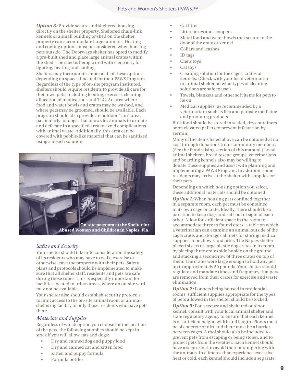**Option 3:** Provide secure and sheltered housing directly on the shelter property. Sheltered chain-link kennels or a small building or shed on the shelter property can accommodate larger animals. Heating and cooling options must be considered when housing pets outside. The Doorways shelter has opted to modify a pre-built shed and place large animal crates within the shed. The shed is being wired with electricity for lighting, heating and cooling.

Shelters may incorporate some or all of these options depending on space allocated for their PAWS Program. Regardless of the type of on-site program instituted, shelters should require residents to provide all care for their own pets, including feeding, exercise, cleaning, allocation of medications and TLC. An area where food and water bowls and crates may be washed, and where pets may be groomed, should be available. Each program should also provide an outdoor "run" area, particularly for dogs, that allows for animals to urinate and defecate in a specified area to avoid complications with animal waste. Additionally, this area can be covered with pebble-like material that can be sanitized using a bleach solution.



#### *Safety and Security*

Your shelter should take into consideration the safety of its residents who may have to walk, exercise or otherwise leave the property with their pets. Safety plans and protocols should be implemented to make sure that all shelter staff, residents and pets are safe during those times. This is especially important for facilities located in urban areas, where an on-site yard may not be available.

Your shelter also should establish security protocols to limit access to the on-site animal room or animalsheltering facility to only those residents who have pets there.

#### *Materials and Supplies*

Regardless of which option you choose for the location of the pets, the following supplies should be kept in stock if you will allow cats and dogs:

- Dry and canned dog and puppy food
- Dry and canned cat and kitten food
- Kitten and puppy formula
- Formula bottles
- **Cat litter**
- Litter boxes and scoopers
- Metal food and water bowls that secure to the door of the crate or kennel
- Collars and leashes
- ID tags
- Chew toys
- Cat toys
- Cleaning solution for the cages, crates or kennels. (Check with your local veterinarian or animal shelter on what types of cleaning solutions are safe to use.)
- Towels, blankets and other soft items for pets to lie on
- Medical supplies (as recommended by a veterinarian) such as flea and parasite medicine and grooming products

Bulk food should be stored in sealed, dry containers or on elevated pallets to prevent infestation by vermin.

Many of the items listed above can be obtained at no cost through donations from community members. (See the Fundraising section of this manual.) Local animal shelters, breed rescue groups, veterinarians and boarding kennels also may be willing to donate these supplies and assist with planning and implementing a PAWS Program. In addition, some residents may arrive at the shelter with supplies for their pets.

Depending on which housing option you select, these additional materials should be obtained:

**Option 1:** When housing pets confined together in a separate room, each pet must be contained in its own cage or crate. Ideally, there should be a partition to keep dogs and cats out of sight of each other. Allow for sufficient space in the room to accommodate three to four visitors, a table on which a veterinarian can examine an animal outside of the cage/crate, and storage cabinets for storing medical supplies, food, bowls and litter. The Naples shelter placed six extra-large plastic dog crates in its room by placing three crates side by side on the ground and stacking a second row of three crates on top of them. The crates were large enough to hold any pet up to approximately 50 pounds. Your shelter should regulate and mandate times and frequency that pets are removed from their crates for exercise and waste elimination.

**Option 2:** For pets being housed in residential rooms, sufficient supplies appropriate for the types of pets allowed in the shelter should be stocked.

**Option 3:** For a secure and sheltered outdoor kennel, consult with your local animal shelter and state regulatory agency to ensure that each kennel is of sufficient height, width and length. Floors must be of concrete or dirt and there must be a barrier between cages. A roof should also be included to prevent pets from escaping or being stolen, and to protect pets from the weather. Each kennel should have a secure lock to avoid theft or tampering with the animals. In climates that experience excessive heat or cold, each kennel should include a separate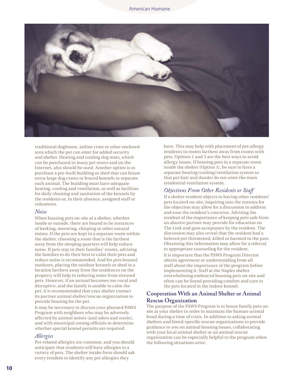

traditional doghouse, airline crate or other enclosed area which the pet can enter for added security and shelter. Heating and cooling dog mats, which can be purchased in many pet stores and on the Internet, also should be used. Another option is to purchase a pre-built building or shed that can house extra-large dog crates or fenced kennels to separate each animal. The building must have adequate heating, cooling and ventilation, as well as facilities for daily cleaning and sanitation of the kennels by the residents or, in their absence, assigned staff or volunteers.

#### *Noise*

When housing pets on-site at a shelter, whether inside or outside, there are bound to be instances of barking, meowing, chirping or other natural noises. If the pets are kept in a separate room within the shelter, choosing a room that is the farthest away from the sleeping quarters will help reduce noise. If pets stay in their families' rooms, advising the families to do their best to calm their pets and reduce noise is recommended. And for pets housed outdoors, placing the outdoor kennels or shed in a location farthest away from the residences on the property will help in reducing noise from stressed pets. However, if an animal becomes too vocal and disruptive, and the family is unable to calm the pet, it is recommended that your shelter contact its partner animal shelter/rescue organization to provide housing for the pet.

It may be necessary to discuss your planned PAWS Program with neighbors who may be adversely affected by animal noises (and odors and waste), and with municipal zoning officials to determine whether special kennel permits are required.

#### *Allergies*

Pet-related allergies are common, and you should anticipate that residents will have allergies to a variety of pets. The shelter intake form should ask every resident to identify any pet allergies they

have. This may help with placement of pet-allergy residents in rooms farthest away from rooms with pets. Options 1 and 3 are the best ways to avoid allergy issues. If housing pets in a separate room inside the shelter (Option 1), be sure to have a separate heating/cooling/ventilation system so that pet hair and dander do not enter the main residential ventilation system.

#### *Objections From Other Residents or Staff*

If a shelter resident objects to having other residents' pets located on-site, inquiring into the reasons for the objection may allow for a discussion to address and ease the resident's concerns. Advising the resident of the importance of keeping pets safe from an abusive partner may provide for education on The Link and gain acceptance by the resident. The discussion may also reveal that the resident had a beloved pet threatened, killed or harmed in the past. Obtaining this information may allow for a referral to appropriate counseling for the resident. It is important that the PAWS Program Director obtain agreement or understanding from all staff about the importance of the program before implementing it. Staff at the Naples shelter overwhelming embraced housing pets on-site and often can be found providing comfort and care to the pets located in the indoor kennel.

#### **Cooperation With an Animal Shelter or Animal Rescue Organization**

The purpose of the PAWS Program is to house family pets onsite at your shelter in order to maintain the human-animal bond during a time of crisis. In addition to asking animal shelters and breed-specific rescue organizations to provide guidance to you on animal housing issues, collaborating with your local animal shelter or an animal rescue organization can be especially helpful to the program when the following situations arise: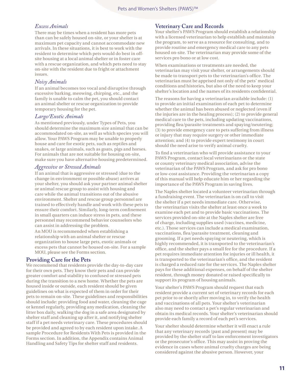## *Excess Animals*

There may be times when a resident has more pets than can be safely housed on-site, or your shelter is at maximum pet capacity and cannot accommodate new arrivals. In these situations, it is best to work with the resident to determine which pets would do best in offsite housing at a local animal shelter or in foster care with a rescue organization, and which pets need to stay on-site with the resident due to fright or attachment issues.

#### *Noisy Animals*

If an animal becomes too vocal and disruptive through excessive barking, meowing, chirping, etc., and the family is unable to calm the pet, you should contact an animal shelter or rescue organization to provide temporary housing for the pet.

#### *Large/Exotic Animals*

As mentioned previously, under Types of Pets, you should determine the maximum size animal that can be accommodated on-site, as well as which species you will allow. Your PAWS Program may be unable to properly house and care for exotic pets, such as reptiles and snakes, or large animals, such as goats, pigs and horses. For animals that are not suitable for housing on-site, make sure you have alternative housing predetermined.

#### *Aggressive or Stressed Animals*

If an animal that is aggressive or stressed (due to the change in environment or possible abuse) arrives at your shelter, you should ask your partner animal shelter or animal rescue group to assist with housing and care while the animal transitions out of the abusive environment. Shelter and rescue group personnel are trained to effectively handle and work with these pets to ensure their comfort. Similarly, long-term confinement in small quarters can induce stress in pets, and these personnel may recommend behavior counselors who can assist in addressing the problem.

An MOU is recommended when establishing a relationship with an animal shelter or rescue organization to house large pets, exotic animals or excess pets that cannot be housed on-site. For a sample MOU, please see the Forms section.

## **Providing Care for the Pets**

We recommend that residents provide the day-to-day care for their own pets. They know their pets and can provide greater comfort and stability to confused or stressed pets during the transition to a new home. Whether the pets are housed inside or outside, each resident should be given guidelines on what is expected of them in order for their pets to remain on-site. These guidelines and responsibilities should include: providing food and water, cleaning the cage or kennel regularly, providing any medication, cleaning the litter box daily, walking the dog in a safe area designated by shelter staff and cleaning up after it, and notifying shelter staff if a pet needs veterinary care. These procedures should be provided and agreed to by each resident upon intake. A sample Procedure for Residents With Pets is provided in the Forms section. In addition, the Appendix contains Animal Handling and Safety Tips for shelter staff and residents.

#### **Veterinary Care and Records**

Your shelter's PAWS Program should establish a relationship with a licensed veterinarian to help establish and maintain the program, to serve as a resource for consulting, and to provide routine and emergency medical care to any pets housed on-site. The veterinarian may provide some of the services pro bono or at low cost.

When examinations or treatments are needed, the veterinarian may visit your shelter, or arrangements should be made to transport pets to the veterinarian's office. The veterinarian must be apprised not only of the pets' medical conditions and histories, but also of the need to keep your shelter's location and the names of its residents confidential.

The reasons for having a veterinarian available include: (1) to provide an initial examination of each pet to determine whether the animal has been abused or neglected (even if the injuries are in the healing process); (2) to provide general medical care to the pets, including updating vaccinations, providing flea/parasite treatments and spaying/neutering; (3) to provide emergency care to pets suffering from illness or injury that may require surgery or other immediate attention; and (4) to provide expert testimony in court should the need arise to verify animal cruelty.

To find a veterinarian who will provide assistance to your PAWS Program, contact local veterinarians or the state or county veterinary medical association, advise the veterinarian of the PAWS Program, and ask for pro bono or low-cost assistance. Providing the veterinarian a copy of this manual will help educate him or her regarding the importance of the PAWS Program in saving lives.

The Naples shelter located a volunteer veterinarian through a fundraising event. The veterinarian is on call to visit the shelter if a pet needs immediate care. Otherwise, the veterinarian visits the shelter at least once a week to examine each pet and to provide basic vaccinations. The services provided on-site at the Naples shelter are free of charge, including supplies used (vaccines, medicine, etc.). Those services can include a medical examination, vaccinations, flea/parasite treatment, cleaning and grooming. If a pet needs spaying or neutering, which is highly recommended, it is transported to the veterinarian's office, and the shelter pays a small fee for the procedure. If a pet requires immediate attention for injuries or ill health, it is transported to the veterinarian's office, and the resident is charged a reduced rate for the services. The Naples shelter pays for these additional expenses, on behalf of the shelter resident, through money donated or raised specifically to support its program of housing animals.

Your shelter's PAWS Program should request that each resident provide a current set of veterinary records for each pet prior to or shortly after moving in, to verify the health and vaccinations of all pets. Your shelter's veterinarian also may need to contact a pet's regular veterinarian and obtain its medical records. Your shelter's veterinarian should provide each family a record of each pet's services.

Your shelter should determine whether it will enact a rule that any veterinary records (past and present) may be provided by the shelter staff to law enforcement investigators or the prosecutor's office. This may assist in proving the evidence in cases where animal cruelty charges are being considered against the abusive person. However, your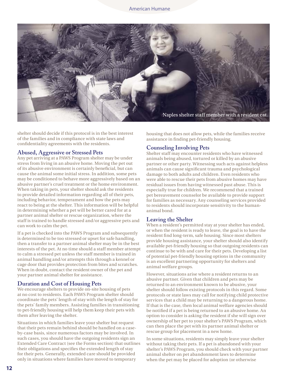

shelter should decide if this protocol is in the best interest of the families and in compliance with state laws and confidentiality agreements with the residents.

#### **Abused, Aggressive or Stressed Pets**

Any pet arriving at a PAWS Program shelter may be under stress from living in an abusive home. Moving the pet out of its abusive environment is certainly beneficial, but can cause the animal some initial stress. In addition, some pets may be conditioned to behave more aggressively based on an abusive partner's cruel treatment or the home environment. When taking in pets, your shelter should ask the residents to provide detailed information regarding all of their pets, including behavior, temperament and how the pets may react to being at the shelter. This information will be helpful in determining whether a pet will be better cared for at a partner animal shelter or rescue organization, where the staff is trained to handle stressed and/or aggressive pets and can work to calm the pet.

If a pet is checked into the PAWS Program and subsequently is determined to be too stressed or upset for safe handling, then a transfer to a partner animal shelter may be in the best interests of the pet. At no time should a staff member attempt to calm a stressed pet unless the staff member is trained in animal handling and/or attempts this through a kennel or cage door that provides protection from bites and scratches. When in doubt, contact the resident owner of the pet and your partner animal shelter for assistance.

#### **Duration and Cost of Housing Pets**

We encourage shelters to provide on-site housing of pets at no cost to residents. Each PAWS Program shelter should coordinate the pets' length of stay with the length of stay for the pets' family members. Assisting families in transitioning to pet-friendly housing will help them keep their pets with them after leaving the shelter.

Situations in which families leave your shelter but request that their pets remain behind should be handled on a caseby-case basis, since numerous factors may be involved. In such cases, you should have the outgoing residents sign an Extended Care Contract (see the Forms section) that outlines their obligations and specifies the extended length of stay for their pets. Generally, extended care should be provided only in situations where families have moved to temporary

housing that does not allow pets, while the families receive assistance in finding pet-friendly housing.

#### **Counseling Involving Pets**

Shelter staff may encounter residents who have witnessed animals being abused, tortured or killed by an abusive partner or other party. Witnessing such acts against helpless animals can cause significant trauma and psychological damage to both adults and children. Even residents who were able to rescue their pets from abusive homes may have residual issues from having witnessed past abuse. This is especially true for children. We recommend that a trained pet bereavement counselor be available to provide support for families as necessary. Any counseling services provided to residents should incorporate sensitivity to the humananimal bond.

#### **Leaving the Shelter**

When a resident's permitted stay at your shelter has ended, or when the resident is ready to leave, the goal is to have the resident find long-term, safe housing. Since most shelters provide housing assistance, your shelter should also identify available pet-friendly housing so that outgoing residents can continue to be with and care for their pets. Developing a list of potential pet-friendly housing options in the community is an excellent partnering opportunity for shelters and animal welfare groups.

However, situations arise where a resident returns to an abusive partner. Given that children and pets may be returned to an environment known to be abusive, your shelter should follow existing protocols in this regard. Some protocols or state laws may call for notifying child protective services that a child may be returning to a dangerous home. If that is the case, then local animal welfare agencies should be notified if a pet is being returned to an abusive home. An option to consider is asking the resident if she will sign over ownership of her pet to your shelter's PAWS Program, which can then place the pet with its partner animal shelter or rescue group for placement in a new home.

In some situations, residents may simply leave your shelter without taking their pets. If a pet is abandoned with your shelter's PAWS Program, you should check with your partner animal shelter on pet abandonment laws to determine when the pet may be placed for adoption (or otherwise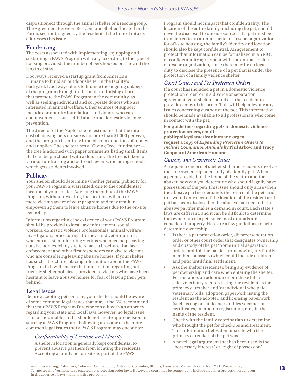dispositioned) through the animal shelter or a rescue group. The Agreement Between Resident and Shelter (located in the Forms section), signed by the resident at the time of intake, addresses this issue.

#### **Fundraising**

The costs associated with implementing, equipping and sustaining a PAWS Program will vary according to the type of housing provided, the number of pets housed on-site and the length of stay.

Doorways received a startup grant from American Humane to build an outdoor shelter in the facility's backyard. Doorways plans to finance the ongoing upkeep of the program through traditional fundraising efforts that promote the PAWS Program in the community, as well as seeking individual and corporate donors who are interested in animal welfare. Other sources of support include community foundations and donors who care about women's issues, child abuse and domestic violence prevention.

The director of the Naples shelter estimates that the total cost of housing pets on-site is no more than \$1,000 per year, and the program is entirely funded from donations of money and supplies. The shelter uses a "Giving Tree" fundraiser the tree is adorned with paper ornaments listing small items that can be purchased with a donation. The tree is taken to various fundraising and outreach events, including schools, which gets students involved.

#### **Publicity**

Your shelter should determine whether general publicity for your PAWS Program is warranted, due to the confidential location of your shelter. Advising the public of the PAWS Program, without revealing the location, will make more victims aware of your program and may result in empowering them to leave abusive homes due to the on-site pet policy.

Information regarding the existence of your PAWS Program should be provided to local law enforcement, social workers, domestic violence professionals, animal welfare investigators, prosecuting attorneys and veterinarians, who can assist in informing victims who need help leaving abusive homes. Many shelters have a brochure that law enforcement and other first responders can give to victims who are considering leaving abusive homes. If your shelter has such a brochure, placing information about the PAWS Program in it will ensure that information regarding petfriendly shelter policies is provided to victims who have been hesitant to leave abusive homes for fear of leaving their pets behind.

## **Legal Issues**

Before accepting pets on-site, your shelter should be aware of some common legal issues that may arise. We recommend that your PAWS Program Director consult with an attorney regarding your state and local laws; however, no legal issue is insurmountable, and it should not create apprehension in starting a PAWS Program. Following are some of the more common legal issues that a PAWS Program may encounter.

## *Confidentiality of Location and Identity*

A shelter's location is generally kept confidential to prevent abusive partners from locating the residents. Accepting a family pet on-site as part of the PAWS

Program should not impact that confidentiality. The location of the entire family, including the pet, should never be disclosed to outside sources. If a pet must be transferred to an animal shelter or rescue organization for off-site housing, the family's identity and location should also be kept confidential. An agreement to protect that information can be formalized in an MOU or confidentiality agreement with the animal shelter or rescue organization, since there may be no legal duty to disclose the presence of a pet that is under the protection of a family violence shelter.

#### *Court Orders and Pet Protection Orders*

If a court has included a pet in a domestic violence protection order<sup>3</sup> or in a divorce or separation agreement, your shelter should ask the resident to provide a copy of the order. This will help alleviate any issues concerning custody of the pet. This information should be made available to all professionals who come in contact with the pet.

#### **For guidelines regarding pets in domestic violence protection orders, email**

**publicpolicy@americanhumane org to request a copy of** *Expanding Protective Orders to Include Companion Animals* **by Phil Arkow and Tracy Coppola of American Humane.** 

#### *Custody and Ownership Issues*

A frequent concern of shelter staff and residents involves the true ownership or custody of a family pet. When a pet has resided in the home of the victim and the abuser, how can you determine who should legally have possession of the pet? This issue should only arise when the abusive partner demands the return of the pet, and this would only occur if the location of the resident and pet has been disclosed to the abusive partner, or if the abusive partner makes a demand in court. Each state's laws are different, and it can be difficult to determine the ownership of a pet, since most animals are considered property. Here are a few guidelines to help determine ownership:

- Is there a pet protection order, divorce/separation order or other court order that designates ownership and custody of the pet? Some initial separation orders prohibit the parties from moving any family members or assets (which could include children and pets) until final settlement.
- Ask the shelter resident to bring any evidence of pet ownership and care when entering the shelter. For instance, an adoption or purchase bill of sale, veterinary records listing the resident as the primary caretaker and/or individual who paid veterinary bills, adoption paperwork listing the resident as the adopter, and licensing paperwork (such as dog or cat licenses, rabies vaccination certificates, microchip registration, etc.) in the name of the resident.
- Check with the family veterinarian to determine who brought the pet for checkups and treatment. This information helps demonstrate who the primary caretaker of the pet was.
- A novel legal argument that has been used is the "possessory interest" or "right of possession"

<sup>3</sup> As of this writing, California, Colorado, Connecticut, District of Columbia, Illinois, Louisiana, Maine, Nevada, New York, Puerto Rico, Tennessee and Vermont have enacted pet protection order laws. However, a court may be requested to include a pet in a protection order even in the absence of laws that allow the protection.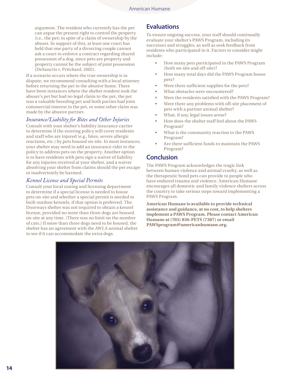argument. The resident who currently has the pet can argue the present right to control the property (i.e., the pet) in spite of a claim of ownership by the abuser. In support of this, at least one court has held that one party of a divorcing couple cannot ask a court to enforce a contract regarding shared possession of a dog, since pets are property and property cannot be the subject of joint possession (DeSanctis v. Pritchard, 2002).

If a scenario occurs where the true ownership is in dispute, we recommend consulting with a local attorney before returning the pet to the abusive home. There have been instances where the shelter resident took the abuser's pet but had no legal claim to the pet, the pet was a valuable breeding pet and both parties had joint commercial interest in the pet, or some other claim was made by the abusive partner.

#### *Insurance/Liability for Bites and Other Injuries*

Consult with your shelter's liability insurance carrier to determine if the existing policy will cover residents and staff who are injured (e.g., bites, severe allergic reactions, etc.) by pets housed on-site. In most instances, your shelter may need to add an insurance rider to the policy to address pets on the property. Another option is to have residents with pets sign a waiver of liability for any injuries received at your shelter, and a waiver absolving your shelter from claims should the pet escape or inadvertently be harmed.

#### *Kennel License and Special Permits*

Consult your local zoning and licensing department to determine if a special license is needed to house pets on-site and whether a special permit is needed to built outdoor kennels, if that option is preferred. The Doorways shelter was not required to obtain a kennel license, provided no more than three dogs are housed on-site at any time. (There was no limit on the number of cats.) If more than three dogs need to be housed, the shelter has an agreement with the AWLA animal shelter to see if it can accommodate the extra dogs.

## **Evaluations**

To ensure ongoing success, your staff should continually evaluate your shelter's PAWS Program, including its successes and struggles, as well as seek feedback from residents who participated in it. Factors to consider might include:

- How many pets participated in the PAWS Program (both on-site and off-site)?
- How many total days did the PAWS Program house pets?
- Were there sufficient supplies for the pets?
- What obstacles were encountered?
- Were the residents satisfied with the PAWS Program?
- Were there any problems with off-site placement of pets with a partner animal shelter?
- What, if any, legal issues arose?
- How does the shelter staff feel about the PAWS Program?
- What is the community reaction to the PAWS Program?
- Are there sufficient funds to maintain the PAWS Program?

## **Conclusion**

The PAWS Program acknowledges the tragic link between human violence and animal cruelty, as well as the therapeutic bond pets can provide to people who have endured trauma and violence. American Humane encourages all domestic and family violence shelters across the country to take serious steps toward implementing a PAWS Program.

**American Humane is available to provide technical assistance and guidance, at no cost, to help shelters implement a PAWS Program. Please contact American Humane at (703) 836-PETS (7387) or email**  PAWSprogram@americanhumane.org.

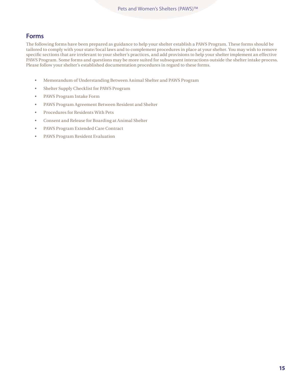## **Forms**

The following forms have been prepared as guidance to help your shelter establish a PAWS Program. These forms should be tailored to comply with your state/local laws and to complement procedures in place at your shelter. You may wish to remove specific sections that are irrelevant to your shelter's practices, and add provisions to help your shelter implement an effective PAWS Program. Some forms and questions may be more suited for subsequent interactions outside the shelter intake process. Please follow your shelter's established documentation procedures in regard to these forms.

- • Memorandum of Understanding Between Animal Shelter and PAWS Program
- Shelter Supply Checklist for PAWS Program
- PAWS Program Intake Form
- PAWS Program Agreement Between Resident and Shelter
- Procedures for Residents With Pets
- Consent and Release for Boarding at Animal Shelter
- PAWS Program Extended Care Contract
- PAWS Program Resident Evaluation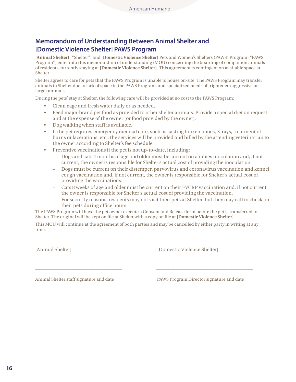# **Memorandum of Understanding Between Animal Shelter and [Domestic Violence Shelter] PAWS Program**

**[Animal Shelter]** ("Shelter") and **[Domestic Violence Shelter]** Pets and Women's Shelters (PAWS) Program ("PAWS Program") enter into this memorandum of understanding (MOU) concerning the boarding of companion animals of residents currently staying at **[Domestic Violence Shelter]**. This agreement is contingent on available space at Shelter.

Shelter agrees to care for pets that the PAWS Program is unable to house on-site. The PAWS Program may transfer animals to Shelter due to lack of space in the PAWS Program, and specialized needs of frightened/aggressive or larger animals.

During the pets' stay at Shelter, the following care will be provided at no cost to the PAWS Program:

- Clean cage and fresh water daily or as needed.
- Feed major-brand pet food as provided to other shelter animals. Provide a special diet on request and at the expense of the owner (or food provided by the owner).
- Dog walking when staff is available.
- If the pet requires emergency medical care, such as casting broken bones, X-rays, treatment of burns or lacerations, etc., the services will be provided and billed by the attending veterinarian to the owner according to Shelter's fee schedule.
- Preventive vaccinations if the pet is not up-to-date, including:
	- Dogs and cats 4 months of age and older must be current on a rabies inoculation and, if not current, the owner is responsible for Shelter's actual cost of providing the inoculation.
	- Dogs must be current on their distemper, parvovirus and coronavirus vaccination and kennel cough vaccination and, if not current, the owner is responsible for Shelter's actual cost of providing the vaccinations.
	- Cats 8 weeks of age and older must be current on their FVCRP vaccination and, if not current, the owner is responsible for Shelter's actual cost of providing the vaccination.
	- For security reasons, residents may not visit their pets at Shelter, but they may call to check on their pets during office hours.

The PAWS Program will have the pet owner execute a Consent and Release form before the pet is transferred to Shelter. The original will be kept on file at Shelter with a copy on file at **[Domestic Violence Shelter]**.

This MOU will continue at the agreement of both parties and may be cancelled by either party in writing at any time.

\_\_\_\_\_\_\_\_\_\_\_\_\_\_\_\_\_\_\_\_\_\_\_\_\_\_\_\_\_\_\_\_\_\_\_\_ \_\_\_\_\_\_\_\_\_\_\_\_\_\_\_\_\_\_\_\_\_\_\_\_\_\_\_\_\_\_\_\_\_\_\_\_\_\_\_\_

[Animal Shelter] [Domestic Violence Shelter]

Animal Shelter staff signature and date PAWS Program Director signature and date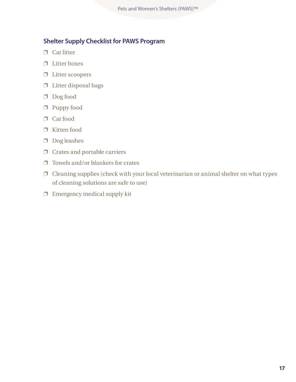# **Shelter Supply Checklist for PAWS Program**

- ❐ Cat litter
- ❐ Litter boxes
- ❐ Litter scoopers
- $\hfill\Box$ <br> <br> Litter disposal bags
- ❐ Dog food
- ❐ Puppy food
- ❐ Cat food
- ❐ Kitten food
- ❐ Dog leashes
- ❐ Crates and portable carriers
- $\square$  Towels and/or blankets for crates
- ❐ Cleaning supplies (check with your local veterinarian or animal shelter on what types of cleaning solutions are safe to use)
- $\Box$  Emergency medical supply kit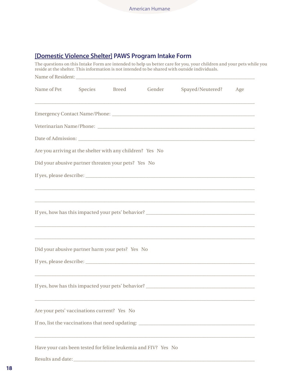# **[Domestic Violence Shelter] PAWS Program Intake Form**

The questions on this Intake Form are intended to help us better care for you, your children and your pets while you reside at the shelter. This information is not intended to be shared with outside individuals. Name of Resident: Name of Pet Species Breed Gender Spayed/Neutered? Age  $\_$  ,  $\_$  ,  $\_$  ,  $\_$  ,  $\_$  ,  $\_$  ,  $\_$  ,  $\_$  ,  $\_$  ,  $\_$  ,  $\_$  ,  $\_$  ,  $\_$  ,  $\_$  ,  $\_$  ,  $\_$  ,  $\_$  ,  $\_$  ,  $\_$  ,  $\_$  ,  $\_$  ,  $\_$  ,  $\_$  ,  $\_$  ,  $\_$  ,  $\_$  ,  $\_$  ,  $\_$  ,  $\_$  ,  $\_$  ,  $\_$  ,  $\_$  ,  $\_$  ,  $\_$  ,  $\_$  ,  $\_$  ,  $\_$  , Emergency Contact Name/Phone: \_\_\_\_\_\_\_\_\_\_\_\_\_\_\_\_\_\_\_\_\_\_\_\_\_\_\_\_\_\_\_\_\_\_\_\_\_\_\_\_\_\_\_\_\_\_\_\_\_\_\_\_\_\_\_\_\_\_\_ Veterinarian Name/Phone: Date of Admission: Are you arriving at the shelter with any children? Yes No Did your abusive partner threaten your pets? Yes No If yes, please describe: \_\_\_\_\_\_\_\_\_\_\_\_\_\_\_\_\_\_\_\_\_\_\_\_\_\_\_\_\_\_\_\_\_\_\_\_\_\_\_\_\_\_\_\_\_\_\_\_\_\_\_\_\_\_\_\_\_\_\_\_\_\_\_\_\_\_\_\_\_\_  $\_$  ,  $\_$  ,  $\_$  ,  $\_$  ,  $\_$  ,  $\_$  ,  $\_$  ,  $\_$  ,  $\_$  ,  $\_$  ,  $\_$  ,  $\_$  ,  $\_$  ,  $\_$  ,  $\_$  ,  $\_$  ,  $\_$  ,  $\_$  ,  $\_$  ,  $\_$  ,  $\_$  ,  $\_$  ,  $\_$  ,  $\_$  ,  $\_$  ,  $\_$  ,  $\_$  ,  $\_$  ,  $\_$  ,  $\_$  ,  $\_$  ,  $\_$  ,  $\_$  ,  $\_$  ,  $\_$  ,  $\_$  ,  $\_$  ,  $\_$  ,  $\_$  ,  $\_$  ,  $\_$  ,  $\_$  ,  $\_$  ,  $\_$  ,  $\_$  ,  $\_$  ,  $\_$  ,  $\_$  ,  $\_$  ,  $\_$  ,  $\_$  ,  $\_$  ,  $\_$  ,  $\_$  ,  $\_$  ,  $\_$  ,  $\_$  ,  $\_$  ,  $\_$  ,  $\_$  ,  $\_$  ,  $\_$  ,  $\_$  ,  $\_$  ,  $\_$  ,  $\_$  ,  $\_$  ,  $\_$  ,  $\_$  ,  $\_$  ,  $\_$  ,  $\_$  ,  $\_$  ,  $\_$  , If yes, how has this impacted your pets' behavior?  $\_$  ,  $\_$  ,  $\_$  ,  $\_$  ,  $\_$  ,  $\_$  ,  $\_$  ,  $\_$  ,  $\_$  ,  $\_$  ,  $\_$  ,  $\_$  ,  $\_$  ,  $\_$  ,  $\_$  ,  $\_$  ,  $\_$  ,  $\_$  ,  $\_$  ,  $\_$  ,  $\_$  ,  $\_$  ,  $\_$  ,  $\_$  ,  $\_$  ,  $\_$  ,  $\_$  ,  $\_$  ,  $\_$  ,  $\_$  ,  $\_$  ,  $\_$  ,  $\_$  ,  $\_$  ,  $\_$  ,  $\_$  ,  $\_$  ,  $\_$  ,  $\_$  ,  $\_$  ,  $\_$  ,  $\_$  ,  $\_$  ,  $\_$  ,  $\_$  ,  $\_$  ,  $\_$  ,  $\_$  ,  $\_$  ,  $\_$  ,  $\_$  ,  $\_$  ,  $\_$  ,  $\_$  ,  $\_$  ,  $\_$  ,  $\_$  ,  $\_$  ,  $\_$  ,  $\_$  ,  $\_$  ,  $\_$  ,  $\_$  ,  $\_$  ,  $\_$  ,  $\_$  ,  $\_$  ,  $\_$  ,  $\_$  ,  $\_$  ,  $\_$  ,  $\_$  ,  $\_$  ,  $\_$  , Did your abusive partner harm your pets? Yes No If yes, please describe: \_\_\_\_\_\_\_\_\_\_\_\_\_\_\_\_\_\_\_\_\_\_\_\_\_\_\_\_\_\_\_\_\_\_\_\_\_\_\_\_\_\_\_\_\_\_\_\_\_\_\_\_\_\_\_\_\_\_\_\_\_\_\_\_\_\_\_\_\_\_  $\_$  ,  $\_$  ,  $\_$  ,  $\_$  ,  $\_$  ,  $\_$  ,  $\_$  ,  $\_$  ,  $\_$  ,  $\_$  ,  $\_$  ,  $\_$  ,  $\_$  ,  $\_$  ,  $\_$  ,  $\_$  ,  $\_$  ,  $\_$  ,  $\_$  ,  $\_$  ,  $\_$  ,  $\_$  ,  $\_$  ,  $\_$  ,  $\_$  ,  $\_$  ,  $\_$  ,  $\_$  ,  $\_$  ,  $\_$  ,  $\_$  ,  $\_$  ,  $\_$  ,  $\_$  ,  $\_$  ,  $\_$  ,  $\_$  , If yes, how has this impacted your pets' behavior?  $\_$  ,  $\_$  ,  $\_$  ,  $\_$  ,  $\_$  ,  $\_$  ,  $\_$  ,  $\_$  ,  $\_$  ,  $\_$  ,  $\_$  ,  $\_$  ,  $\_$  ,  $\_$  ,  $\_$  ,  $\_$  ,  $\_$  ,  $\_$  ,  $\_$  ,  $\_$  ,  $\_$  ,  $\_$  ,  $\_$  ,  $\_$  ,  $\_$  ,  $\_$  ,  $\_$  ,  $\_$  ,  $\_$  ,  $\_$  ,  $\_$  ,  $\_$  ,  $\_$  ,  $\_$  ,  $\_$  ,  $\_$  ,  $\_$  , Are your pets' vaccinations current? Yes No If no, list the vaccinations that need updating: \_\_\_\_\_\_\_\_\_\_\_\_\_\_\_\_\_\_\_\_\_\_\_\_\_\_\_\_\_\_\_\_\_\_\_\_\_\_\_\_\_\_\_\_\_\_\_\_  $\_$  ,  $\_$  ,  $\_$  ,  $\_$  ,  $\_$  ,  $\_$  ,  $\_$  ,  $\_$  ,  $\_$  ,  $\_$  ,  $\_$  ,  $\_$  ,  $\_$  ,  $\_$  ,  $\_$  ,  $\_$  ,  $\_$  ,  $\_$  ,  $\_$  ,  $\_$  ,  $\_$  ,  $\_$  ,  $\_$  ,  $\_$  ,  $\_$  ,  $\_$  ,  $\_$  ,  $\_$  ,  $\_$  ,  $\_$  ,  $\_$  ,  $\_$  ,  $\_$  ,  $\_$  ,  $\_$  ,  $\_$  ,  $\_$  , Have your cats been tested for feline leukemia and FIV? Yes No

Results and date: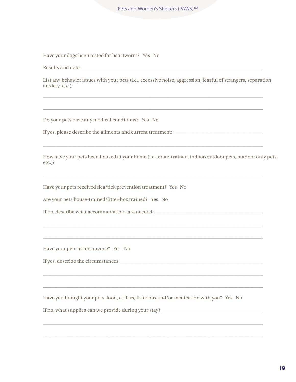Have your dogs been tested for heartworm? Yes No

| Results and date: |  |
|-------------------|--|
|                   |  |

List any behavior issues with your pets (i.e., excessive noise, aggression, fearful of strangers, separation anxiety, etc.):

 $\_$  ,  $\_$  ,  $\_$  ,  $\_$  ,  $\_$  ,  $\_$  ,  $\_$  ,  $\_$  ,  $\_$  ,  $\_$  ,  $\_$  ,  $\_$  ,  $\_$  ,  $\_$  ,  $\_$  ,  $\_$  ,  $\_$  ,  $\_$  ,  $\_$  ,  $\_$  ,  $\_$  ,  $\_$  ,  $\_$  ,  $\_$  ,  $\_$  ,  $\_$  ,  $\_$  ,  $\_$  ,  $\_$  ,  $\_$  ,  $\_$  ,  $\_$  ,  $\_$  ,  $\_$  ,  $\_$  ,  $\_$  ,  $\_$  ,

 $\_$  ,  $\_$  ,  $\_$  ,  $\_$  ,  $\_$  ,  $\_$  ,  $\_$  ,  $\_$  ,  $\_$  ,  $\_$  ,  $\_$  ,  $\_$  ,  $\_$  ,  $\_$  ,  $\_$  ,  $\_$  ,  $\_$  ,  $\_$  ,  $\_$  ,  $\_$  ,  $\_$  ,  $\_$  ,  $\_$  ,  $\_$  ,  $\_$  ,  $\_$  ,  $\_$  ,  $\_$  ,  $\_$  ,  $\_$  ,  $\_$  ,  $\_$  ,  $\_$  ,  $\_$  ,  $\_$  ,  $\_$  ,  $\_$  ,

 $\_$  ,  $\_$  ,  $\_$  ,  $\_$  ,  $\_$  ,  $\_$  ,  $\_$  ,  $\_$  ,  $\_$  ,  $\_$  ,  $\_$  ,  $\_$  ,  $\_$  ,  $\_$  ,  $\_$  ,  $\_$  ,  $\_$  ,  $\_$  ,  $\_$  ,  $\_$  ,  $\_$  ,  $\_$  ,  $\_$  ,  $\_$  ,  $\_$  ,  $\_$  ,  $\_$  ,  $\_$  ,  $\_$  ,  $\_$  ,  $\_$  ,  $\_$  ,  $\_$  ,  $\_$  ,  $\_$  ,  $\_$  ,  $\_$  ,

 $\_$  ,  $\_$  ,  $\_$  ,  $\_$  ,  $\_$  ,  $\_$  ,  $\_$  ,  $\_$  ,  $\_$  ,  $\_$  ,  $\_$  ,  $\_$  ,  $\_$  ,  $\_$  ,  $\_$  ,  $\_$  ,  $\_$  ,  $\_$  ,  $\_$  ,  $\_$  ,  $\_$  ,  $\_$  ,  $\_$  ,  $\_$  ,  $\_$  ,  $\_$  ,  $\_$  ,  $\_$  ,  $\_$  ,  $\_$  ,  $\_$  ,  $\_$  ,  $\_$  ,  $\_$  ,  $\_$  ,  $\_$  ,  $\_$  ,

 $\_$  ,  $\_$  ,  $\_$  ,  $\_$  ,  $\_$  ,  $\_$  ,  $\_$  ,  $\_$  ,  $\_$  ,  $\_$  ,  $\_$  ,  $\_$  ,  $\_$  ,  $\_$  ,  $\_$  ,  $\_$  ,  $\_$  ,  $\_$  ,  $\_$  ,  $\_$  ,  $\_$  ,  $\_$  ,  $\_$  ,  $\_$  ,  $\_$  ,  $\_$  ,  $\_$  ,  $\_$  ,  $\_$  ,  $\_$  ,  $\_$  ,  $\_$  ,  $\_$  ,  $\_$  ,  $\_$  ,  $\_$  ,  $\_$  ,

 $\_$  ,  $\_$  ,  $\_$  ,  $\_$  ,  $\_$  ,  $\_$  ,  $\_$  ,  $\_$  ,  $\_$  ,  $\_$  ,  $\_$  ,  $\_$  ,  $\_$  ,  $\_$  ,  $\_$  ,  $\_$  ,  $\_$  ,  $\_$  ,  $\_$  ,  $\_$  ,  $\_$  ,  $\_$  ,  $\_$  ,  $\_$  ,  $\_$  ,  $\_$  ,  $\_$  ,  $\_$  ,  $\_$  ,  $\_$  ,  $\_$  ,  $\_$  ,  $\_$  ,  $\_$  ,  $\_$  ,  $\_$  ,  $\_$  ,

 $\_$  ,  $\_$  ,  $\_$  ,  $\_$  ,  $\_$  ,  $\_$  ,  $\_$  ,  $\_$  ,  $\_$  ,  $\_$  ,  $\_$  ,  $\_$  ,  $\_$  ,  $\_$  ,  $\_$  ,  $\_$  ,  $\_$  ,  $\_$  ,  $\_$  ,  $\_$  ,  $\_$  ,  $\_$  ,  $\_$  ,  $\_$  ,  $\_$  ,  $\_$  ,  $\_$  ,  $\_$  ,  $\_$  ,  $\_$  ,  $\_$  ,  $\_$  ,  $\_$  ,  $\_$  ,  $\_$  ,  $\_$  ,  $\_$  ,

 $\_$  ,  $\_$  ,  $\_$  ,  $\_$  ,  $\_$  ,  $\_$  ,  $\_$  ,  $\_$  ,  $\_$  ,  $\_$  ,  $\_$  ,  $\_$  ,  $\_$  ,  $\_$  ,  $\_$  ,  $\_$  ,  $\_$  ,  $\_$  ,  $\_$  ,  $\_$  ,  $\_$  ,  $\_$  ,  $\_$  ,  $\_$  ,  $\_$  ,  $\_$  ,  $\_$  ,  $\_$  ,  $\_$  ,  $\_$  ,  $\_$  ,  $\_$  ,  $\_$  ,  $\_$  ,  $\_$  ,  $\_$  ,  $\_$  ,

 $\_$  ,  $\_$  ,  $\_$  ,  $\_$  ,  $\_$  ,  $\_$  ,  $\_$  ,  $\_$  ,  $\_$  ,  $\_$  ,  $\_$  ,  $\_$  ,  $\_$  ,  $\_$  ,  $\_$  ,  $\_$  ,  $\_$  ,  $\_$  ,  $\_$  ,  $\_$  ,  $\_$  ,  $\_$  ,  $\_$  ,  $\_$  ,  $\_$  ,  $\_$  ,  $\_$  ,  $\_$  ,  $\_$  ,  $\_$  ,  $\_$  ,  $\_$  ,  $\_$  ,  $\_$  ,  $\_$  ,  $\_$  ,  $\_$  ,

 $\_$  ,  $\_$  ,  $\_$  ,  $\_$  ,  $\_$  ,  $\_$  ,  $\_$  ,  $\_$  ,  $\_$  ,  $\_$  ,  $\_$  ,  $\_$  ,  $\_$  ,  $\_$  ,  $\_$  ,  $\_$  ,  $\_$  ,  $\_$  ,  $\_$  ,  $\_$  ,  $\_$  ,  $\_$  ,  $\_$  ,  $\_$  ,  $\_$  ,  $\_$  ,  $\_$  ,  $\_$  ,  $\_$  ,  $\_$  ,  $\_$  ,  $\_$  ,  $\_$  ,  $\_$  ,  $\_$  ,  $\_$  ,  $\_$  ,

Do your pets have any medical conditions? Yes No

If yes, please describe the ailments and current treatment: \_\_\_\_\_\_\_\_\_\_\_\_\_\_\_\_\_\_\_\_\_\_\_\_\_\_\_\_\_\_\_\_\_\_\_\_\_

How have your pets been housed at your home (i.e., crate-trained, indoor/outdoor pets, outdoor only pets, etc.)?

Have your pets received flea/tick prevention treatment? Yes No

Are your pets house-trained/litter-box trained? Yes No

If no, describe what accommodations are needed:\_\_\_\_\_\_\_\_\_\_\_\_\_\_\_\_\_\_\_\_\_\_\_\_\_\_\_\_\_\_\_\_\_\_\_\_\_\_\_\_\_\_\_\_\_

Have your pets bitten anyone? Yes No

If yes, describe the circumstances:\_\_\_\_\_\_\_\_\_\_\_\_\_\_\_\_\_\_\_\_\_\_\_\_\_\_\_\_\_\_\_\_\_\_\_\_\_\_\_\_\_\_\_\_\_\_\_\_\_\_\_\_\_\_\_\_\_\_\_

Have you brought your pets' food, collars, litter box and/or medication with you? Yes No

If no, what supplies can we provide during your stay? \_\_\_\_\_\_\_\_\_\_\_\_\_\_\_\_\_\_\_\_\_\_\_\_\_\_\_\_\_\_\_\_\_\_\_\_\_\_\_\_\_\_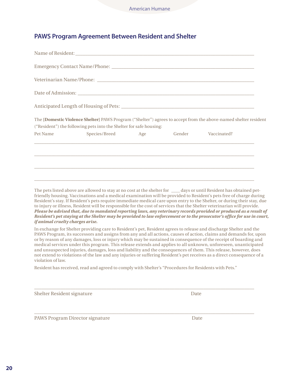# **PAWS Program Agreement Between Resident and Shelter**

|          | The [Domestic Violence Shelter] PAWS Program ("Shelter") agrees to accept from the above-named shelter resident<br>("Resident") the following pets into the Shelter for safe housing: |  |  |
|----------|---------------------------------------------------------------------------------------------------------------------------------------------------------------------------------------|--|--|
| Pet Name | Species/Breed Age Gender Vaccinated?                                                                                                                                                  |  |  |
|          |                                                                                                                                                                                       |  |  |
|          |                                                                                                                                                                                       |  |  |
|          |                                                                                                                                                                                       |  |  |
|          |                                                                                                                                                                                       |  |  |

The pets listed above are allowed to stay at no cost at the shelter for \_\_\_\_ days or until Resident has obtained petfriendly housing. Vaccinations and a medical examination will be provided to Resident's pets free of charge during Resident's stay. If Resident's pets require immediate medical care upon entry to the Shelter, or during their stay, due to injury or illness, Resident will be responsible for the cost of services that the Shelter veterinarian will provide. *Please be advised that, due to mandated reporting laws, any veterinary records provided or produced as a result of Resident's pet staying at the Shelter may be provided to law enforcement or to the prosecutor's office for use in court, if animal cruelty charges arise.*

In exchange for Shelter providing care to Resident's pet, Resident agrees to release and discharge Shelter and the PAWS Program, its successors and assigns from any and all actions, causes of action, claims and demands for, upon or by reason of any damages, loss or injury which may be sustained in consequence of the receipt of boarding and medical services under this program. This release extends and applies to all unknown, unforeseen, unanticipated and unsuspected injuries, damages, loss and liability and the consequences of them. This release, however, does not extend to violations of the law and any injuries or suffering Resident's pet receives as a direct consequence of a violation of law.

Resident has received, read and agreed to comply with Shelter's "Procedures for Residents with Pets."

\_\_\_\_\_\_\_\_\_\_\_\_\_\_\_\_\_\_\_\_\_\_\_\_\_\_\_\_\_\_\_\_\_\_\_\_\_\_\_\_\_\_\_\_\_\_\_\_\_\_\_\_\_\_\_\_\_\_\_\_\_\_\_\_\_\_\_\_\_\_\_\_\_\_\_\_\_\_\_\_\_\_\_\_\_\_\_\_\_\_\_

\_\_\_\_\_\_\_\_\_\_\_\_\_\_\_\_\_\_\_\_\_\_\_\_\_\_\_\_\_\_\_\_\_\_\_\_\_\_\_\_\_\_\_\_\_\_\_\_\_\_\_\_\_\_\_\_\_\_\_\_\_\_\_\_\_\_\_\_\_\_\_\_\_\_\_\_\_\_\_\_\_\_\_\_\_\_\_\_\_\_\_

Shelter Resident signature Date

PAWS Program Director signature Date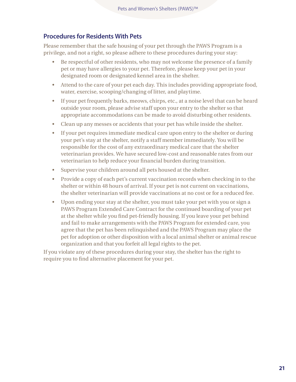## **Procedures for Residents With Pets**

Please remember that the safe housing of your pet through the PAWS Program is a privilege, and not a right, so please adhere to these procedures during your stay:

- Be respectful of other residents, who may not welcome the presence of a family pet or may have allergies to your pet. Therefore, please keep your pet in your designated room or designated kennel area in the shelter.
- Attend to the care of your pet each day. This includes providing appropriate food, water, exercise, scooping/changing of litter, and playtime.
- If your pet frequently barks, meows, chirps, etc., at a noise level that can be heard outside your room, please advise staff upon your entry to the shelter so that appropriate accommodations can be made to avoid disturbing other residents.
- • Clean up any messes or accidents that your pet has while inside the shelter.
- • If your pet requires immediate medical care upon entry to the shelter or during your pet's stay at the shelter, notify a staff member immediately. You will be responsible for the cost of any extraordinary medical care that the shelter veterinarian provides. We have secured low-cost and reasonable rates from our veterinarian to help reduce your financial burden during transition.
- • Supervise your children around all pets housed at the shelter.
- Provide a copy of each pet's current vaccination records when checking in to the shelter or within 48 hours of arrival. If your pet is not current on vaccinations, the shelter veterinarian will provide vaccinations at no cost or for a reduced fee.
- • Upon ending your stay at the shelter, you must take your pet with you or sign a PAWS Program Extended Care Contract for the continued boarding of your pet at the shelter while you find pet-friendly housing. If you leave your pet behind and fail to make arrangements with the PAWS Program for extended care, you agree that the pet has been relinquished and the PAWS Program may place the pet for adoption or other disposition with a local animal shelter or animal rescue organization and that you forfeit all legal rights to the pet.

If you violate any of these procedures during your stay, the shelter has the right to require you to find alternative placement for your pet.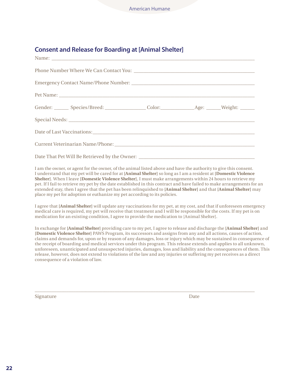# **Consent and Release for Boarding at [Animal Shelter]**

| Name: Name and the second contract of the second contract of the second contract of the second contract of the second contract of the second contract of the second contract of the second contract of the second contract of |  |  |
|-------------------------------------------------------------------------------------------------------------------------------------------------------------------------------------------------------------------------------|--|--|
|                                                                                                                                                                                                                               |  |  |
|                                                                                                                                                                                                                               |  |  |
|                                                                                                                                                                                                                               |  |  |
|                                                                                                                                                                                                                               |  |  |
|                                                                                                                                                                                                                               |  |  |
|                                                                                                                                                                                                                               |  |  |
|                                                                                                                                                                                                                               |  |  |
|                                                                                                                                                                                                                               |  |  |

I am the owner, or agent for the owner, of the animal listed above and have the authority to give this consent. I understand that my pet will be cared for at **[Animal Shelter]** so long as I am a resident at **[Domestic Violence Shelter]**. When I leave **[Domestic Violence Shelter]**, I must make arrangements within 24 hours to retrieve my pet. If I fail to retrieve my pet by the date established in this contract and have failed to make arrangements for an extended stay, then I agree that the pet has been relinquished to **[Animal Shelter]** and that **[Animal Shelter]** may place my pet for adoption or euthanize my pet according to its policies.

I agree that **[Animal Shelter]** will update any vaccinations for my pet, at my cost, and that if unforeseen emergency medical care is required, my pet will receive that treatment and I will be responsible for the costs. If my pet is on medication for an existing condition, I agree to provide the medication to [Animal Shelter].

In exchange for **[Animal Shelter]** providing care to my pet, I agree to release and discharge the **[Animal Shelter]** and **[Domestic Violence Shelter]** PAWS Program, its successors and assigns from any and all actions, causes of action, claims and demands for, upon or by reason of any damages, loss or injury which may be sustained in consequence of the receipt of boarding and medical services under this program. This release extends and applies to all unknown, unforeseen, unanticipated and unsuspected injuries, damages, loss and liability and the consequences of them. This release, however, does not extend to violations of the law and any injuries or suffering my pet receives as a direct consequence of a violation of law.

 $\_$  ,  $\_$  ,  $\_$  ,  $\_$  ,  $\_$  ,  $\_$  ,  $\_$  ,  $\_$  ,  $\_$  ,  $\_$  ,  $\_$  ,  $\_$  ,  $\_$  ,  $\_$  ,  $\_$  ,  $\_$  ,  $\_$  ,  $\_$  ,  $\_$  ,  $\_$  ,  $\_$  ,  $\_$  ,  $\_$  ,  $\_$  ,  $\_$  ,  $\_$  ,  $\_$  ,  $\_$  ,  $\_$  ,  $\_$  ,  $\_$  ,  $\_$  ,  $\_$  ,  $\_$  ,  $\_$  ,  $\_$  ,  $\_$  ,

Signature Date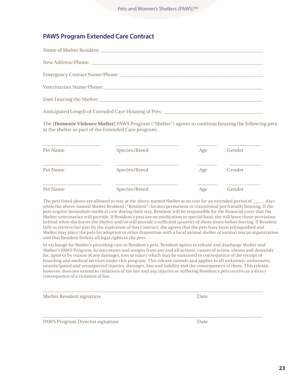# **PAWS Program Extended Care Contract**

The **[Domestic Violence Shelter]** PAWS Program ("Shelter") agrees to continue housing the following pets at the shelter as part of the Extended Care program:

| Pet Name | Species/Breed | Age | Gender |  |
|----------|---------------|-----|--------|--|
| Pet Name | Species/Breed | Age | Gender |  |
| Pet Name | Species/Breed | Age | Gender |  |

The pets listed above are allowed to stay at the above-named Shelter at no cost for an extended period of days while the above-named Shelter Resident ("Resident") locates permanent or transitional pet-friendly housing. If the pets require immediate medical care during their stay, Resident will be responsible for the financial costs that the Shelter veterinarian will provide. If Resident's pets are on medication or special food, she will leave those provisions behind when she leaves the Shelter and/or will provide a sufficient quantity of those items before leaving. If Resident fails to retrieve her pets by the expiration of this Contract, she agrees that the pets have been relinquished and Shelter may place the pets for adoption or other disposition with a local animal shelter or animal rescue organization and that Resident forfeits all legal rights to the pets.

In exchange for Shelter's providing care to Resident's pets, Resident agrees to release and discharge Shelter and Shelter's PAWS Program, its successors and assigns from any and all actions, causes of action, claims and demands for, upon or by reason of any damages, loss or injury which may be sustained in consequence of the receipt of boarding and medical services under this program. This release extends and applies to all unknown, unforeseen, unanticipated and unsuspected injuries, damages, loss and liability and the consequences of them. This release, however, does not extend to violations of the law and any injuries or suffering Resident's pets receive as a direct consequence of a violation of law.

 $\_$  , and the set of the set of the set of the set of the set of the set of the set of the set of the set of the set of the set of the set of the set of the set of the set of the set of the set of the set of the set of th

 $\_$  ,  $\_$  ,  $\_$  ,  $\_$  ,  $\_$  ,  $\_$  ,  $\_$  ,  $\_$  ,  $\_$  ,  $\_$  ,  $\_$  ,  $\_$  ,  $\_$  ,  $\_$  ,  $\_$  ,  $\_$  ,  $\_$  ,  $\_$  ,  $\_$  ,  $\_$  ,  $\_$  ,  $\_$  ,  $\_$  ,  $\_$  ,  $\_$  ,  $\_$  ,  $\_$  ,  $\_$  ,  $\_$  ,  $\_$  ,  $\_$  ,  $\_$  ,  $\_$  ,  $\_$  ,  $\_$  ,  $\_$  ,  $\_$  ,

| Shelter Resident signature | Date |
|----------------------------|------|
|----------------------------|------|

PAWS Program Director signature Date Date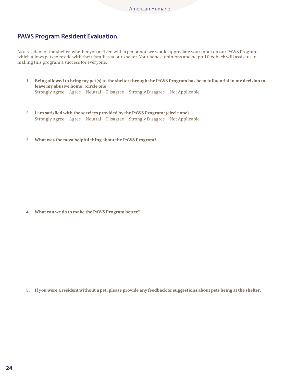## **PAWS Program Resident Evaluation**

As a resident of the shelter, whether you arrived with a pet or not, we would appreciate your input on our PAWS Program, which allows pets to reside with their families at our shelter. Your honest opinions and helpful feedback will assist us in making this program a success for everyone.

**1 Being allowed to bring my pet(s) to the shelter through the PAWS Program has been influential in my decision to leave my abusive home: (circle one)**

Strongly Agree Agree Neutral Disagree Strongly Disagree Not Applicable

- **2 I am satisfied with the services provided by the PAWS Program: (circle one)** Strongly Agree Agree Neutral Disagree Strongly Disagree Not Applicable
- **3 What was the most helpful thing about the PAWS Program?**

**4 What can we do to make the PAWS Program better?**

**5 If you were a resident without a pet, please provide any feedback or suggestions about pets being at the shelter**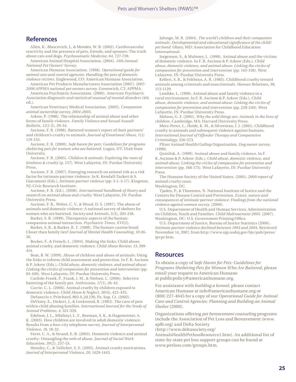## **References**

Allen, K., Blascovich, J., & Mendes, W. B. (2002). Cardiovascular reactivity and the presence of pets, friends, and spouses: The truth about cats and dogs. *Psychosomatic Medicine, 64*, 727-739.

American Animal Hospital Association. (2004). *14th Annual National Pet Owners' Survey.*

American Humane Association. (1998). *Operational guide for animal care and control agencies: Handling the pets of domestic violence victims.* Englewood, CO: American Humane Association.

American Pet Products Manufacturers Association (2007). *2007- 2008 APPMA national pet owners survey.* Greenwich, CT: APPMA.

American Psychiatric Association. (2000). *American Psychiatric Association diagnostic and statistical manual of mental disorders* (4th ed.).

American Veterinary Medical Association. (2005). *Companion animal ownership survey, 2004-2005.*

Arkow, P. (1996). The relationship of animal abuse and other forms of family violence. *Family Violence and Sexual Assault Bulletin, 12*(1-2), 29-34.

Ascione, F. R. (1998). Battered women's report of their partners' and children's cruelty to animals. *Journal of Emotional Abuse, 1*(1) 119-133.

Ascione, F. R. (2000). *Safe haven for pets: Guidelines for programs sheltering pets for women who are battered.* Logan, UT: Utah State University.

Ascione, F. R. (2005). *Children & animals: Exploring the roots of kindness & cruelty* (p. 137). West Lafayette, IN: Purdue University Press.

Ascione, F. R. (2007). Emerging research on animal risk as a risk factor for intimate partner violence. In K. Kendall-Tackett & S. Giacomoni (Eds.), *Intimate partner violence* (pp. 3-1–3-17). Kingston, NJ: Civic Research Institute.

Ascione, F. R. (Ed.). (2008). *International handbook of theory and research on animal abuse and cruelty.* West Lafayette, IN: Purdue University Press.

Ascione, F. R., Weber, C. V., & Wood, D. S. (1997). The abuse of animals and domestic violence: A national survey of shelters for women who are battered. *Society and Animals, 5*(3), 205-218.

Barker, S. B. (1999). Therapeutic aspects of the humancompanion animal interaction. *Psychiatric Times, XVI*(2).

Barker, S. B., & Barker, R. T. (1988). The human-canine bond: Closer than family ties? *Journal of Mental Health Counseling, 10*:46- 56.

Becker, F., & French, L. (2004). Making the links: Child abuse, animal cruelty, and domestic violence. *Child Abuse Review, 13*, 399- 414.

Boat, B. W. (1999). Abuse of children and abuse of animals: Using the links to inform child assessment and protection. In F. R. Ascione & P. Arkow (Eds.), *Child abuse, domestic violence, and animal abuse: Linking the circles of compassion for prevention and intervention* (pp. 83-100). West Lafayette, IN: Purdue University Press.

Carlisle-Frank, P., Frank, J. M., & Nielsen, L. (2006). Selective battering of the family pet. *Anthrozoos, 17*(1), 26-42.

Currie, C. L. (2006). Animal cruelty by children exposed to domestic violence. *Child Abuse & Neglect, 30*(4), 425-435.

DeSanctis v. Pritchard, 803 A.2d 230, Pa. Sup. Ct. (2002). DeViney, E., Dickert, J., & Lockwood, R. (1983). The care of pets within child abusing families. *International Journal for the Study of Animal Problems, 4,* 321-329.

Edelson, J. L., Mbilinyi, L. F., Beeman, S. K., & Hagemeister, A. K. (2003). How children are involved in adult domestic violence: Results from a four-city telephone survey. *Journal of Interpersonal Violence, 18,* 18-32.

Faver, C. A., & Strand, E. B. (2003). Domestic violence and animal cruelty: Untangling the web of abuse. *Journal of Social Work Education, 39*(2), 237-53.

Hensley, C., & Tallichet, S. E. (2005). Animal cruelty motivations. *Journal of Interpersonal Violence, 20*, 1429-1443.

Jalongo, M. R. (2004). *The world's children and their companion animals: Developmental and educational significance of the child/ pet bond.* Olney, MD: Association for Childhood Education International.

Jorgensen, S., & Maloney, L. (1999). Animal abuse and the victims of domestic violence. In F. R. Ascione & P. Arkow (Eds.), *Child abuse, domestic violence, and animal abuse: Linking the circles of compassion for prevention and intervention* (pp. 143-158). West Lafayette, IN: Purdue University Press.

Kellert, S. R., & Felthous, A. R. (1985). Childhood cruelty toward animals among criminals and noncriminals. *Human Relations, 38*, 113-1129.

Lembke, L. (1999). Animal abuse and family violence in a rural environment. In F. R. Ascione & P. Arkow (Eds.), *Child abuse, domestic violence, and animal abuse: Linking the circles of compassion for prevention and intervention* (pp. 228-240). West Lafayette, IN: Purdue University Press.

Melson, G. F. (2001). *Why the wild things are: Animals in the lives of children.* Cambridge, MA: Harvard University Press.

Merz-Perez, L., Heide, K. M., & Silverman, I. J. (2001). Childhood cruelty to animals and subsequent violence against humans. *International Journal of Offender Therapy and Comparative Criminology,* 556-573.

Pfizer Animal Health/Gallup Organization. *Dog owner survey.* (1998).

Quinlisk, A. (1999). Animal abuse and family violence. In F. R. Ascione & P. Arkow (Eds.), *Child abuse, domestic violence, and animal abuse: Linking the circles of compassion for prevention and intervention* (pp. 168-175). West Lafayette, IN: Purdue University Press.

The Humane Society of the United States. (2001). *2000 report of animal cruelty cases.* 

Washington, DC.

Tjaden, P., & Thoennes, N. National Institute of Justice and the Centers for Disease Control and Prevention. *Extent, nature and consequences of intimate partner violence: Findings from the national violence against women survey.* (2000).

U.S. Department of Health and Human Services, Administration on Children, Youth and Families. *Child Maltreatment 2005.* (2007). Washington, DC: U.S. Government Printing Office.

U.S. Department of Justice, Bureau of Justice Statistics (2006). *Intimate partner violence declined between 1993 and 2004.* Retrieved November 14, 2007, from http://www.ojp.usdoj.gov/bjs/pub/press/ ipvpr.htm.

#### **Resources**

To obtain a copy of *Safe Haven for Pets: Guidelines for Programs Sheltering Pets for Women Who Are Battered,* please email your request to American Humane at publicpolicy@americanhumane.org.

For assistance with *building a kennel,* please contact American Humane at info@americanhumane.org or (800) 227-4645 for a copy of our *Operational Guide for Animal Care and Control Agencies: Planning and Building an Animal Shelter* (2000).

Organizations offering *pet bereavement counseling* programs include the Association of Pet Loss and Bereavement (www. aplb.org) and Delta Society

(http://www.deltasociety.org/

AnimalsHealthPetlossResource1.htm). An additional list of state-by-state pet loss support groups can be found at www.petloss.com/groups.htm.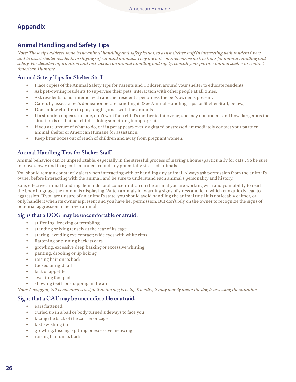# **Appendix**

## **Animal Handling and Safety Tips**

*Note: These tips address some basic animal handling and safety issues, to assist shelter staff in interacting with residents' pets and to assist shelter residents in staying safe around animals. They are not comprehensive instructions for animal handling and safety. For detailed information and instruction on animal handling and safety, consult your partner animal shelter or contact American Humane.*

## **Animal Safety Tips for Shelter Staff**

- Place copies of the Animal Safety Tips for Parents and Children around your shelter to educate residents.
- Ask pet-owning residents to supervise their pets' interaction with other people at all times.
- Ask residents to not interact with another resident's pet unless the pet's owner is present.
- Carefully assess a pet's demeanor before handling it. (See Animal Handling Tips for Shelter Staff, below.)
- Don't allow children to play rough games with the animals.
- If a situation appears unsafe, don't wait for a child's mother to intervene; she may not understand how dangerous the situation is or that her child is doing something inappropriate.
- If you are unsure of what to do, or if a pet appears overly agitated or stressed, immediately contact your partner animal shelter or American Humane for assistance.
- Keep litter boxes out of reach of children and away from pregnant women.

## **Animal Handling Tips for Shelter Staff**

Animal behavior can be unpredictable, especially in the stressful process of leaving a home (particularly for cats). So be sure to move slowly and in a gentle manner around any potentially stressed animals.

You should remain constantly alert when interacting with or handling any animal. Always ask permission from the animal's owner before interacting with the animal, and be sure to understand each animal's personality and history.

Safe, effective animal handling demands total concentration on the animal you are working with and your ability to read the body language the animal is displaying. Watch animals for warning signs of stress and fear, which can quickly lead to aggression. If you are unsure of an animal's state, you should avoid handling the animal until it is noticeably calmer, or only handle it when its owner is present and you have her permission. But don't rely on the owner to recognize the signs of potential aggression in her own animal.

#### **Signs that a DOG may be uncomfortable or afraid:**

- stiffening, freezing or trembling
- standing or lying tensely at the rear of its cage
- staring, avoiding eye contact; wide eyes with white rims
- flattening or pinning back its ears
- growling, excessive deep barking or excessive whining
- panting, drooling or lip licking
- raising hair on its back
- tucked or rigid tail
- lack of appetite
- sweating foot pads
- showing teeth or snapping in the air

*Note: A wagging tail is not always a sign that the dog is being friendly; it may merely mean the dog is assessing the situation.*

## **Signs that a CAT may be uncomfortable or afraid:**

- ears flattened
- curled up in a ball or body turned sideways to face you
- facing the back of the carrier or cage
- fast-swishing tail
- growling, hissing, spitting or excessive meowing
- raising hair on its back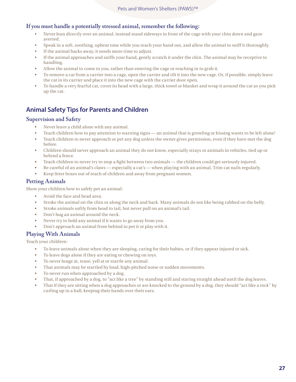## **If you must handle a potentially stressed animal, remember the following:**

- Never lean directly over an animal; instead stand sideways in front of the cage with your chin down and gaze averted.
- Speak in a soft, soothing, upbeat tone while you reach your hand out, and allow the animal to sniff it thoroughly.
- If the animal backs away, it needs more time to adjust.
- If the animal approaches and sniffs your hand, gently scratch it under the chin. The animal may be receptive to handling.
- Allow the animal to come to you, rather than entering the cage or reaching in to grab it.
- To remove a cat from a carrier into a cage, open the carrier and tilt it into the new cage. Or, if possible, simply leave the cat in its carrier and place it into the new cage with the carrier door open.
- To handle a very fearful cat, cover its head with a large, thick towel or blanket and wrap it around the cat as you pick up the cat.

# **Animal Safety Tips for Parents and Children**

#### **Supervision and Safety**

- Never leave a child alone with any animal.
- Teach children how to pay attention to warning signs an animal that is growling or hissing wants to be left alone!
- Teach children to never approach or pet any dog unless the owner gives permission, even if they have met the dog before.
- Children should never approach an animal they do not know, especially strays or animals in vehicles, tied up or behind a fence.
- Teach children to never try to stop a fight between two animals the children could get seriously injured.
- Be careful of an animal's claws especially a cat's when playing with an animal. Trim cat nails regularly.
- Keep litter boxes out of reach of children and away from pregnant women.

## **Petting Animals**

Show your children how to safely pet an animal:

- Avoid the face and head area.
- Stroke the animal on the chin or along the neck and back. Many animals do not like being rubbed on the belly.
- Stroke animals softly from head to tail, but never pull on an animal's tail.
- Don't hug an animal around the neck.
- Never try to hold any animal if it wants to go away from you.
- Don't approach an animal from behind to pet it or play with it.

## **Playing With Animals**

Teach your children:

- To leave animals alone when they are sleeping, caring for their babies, or if they appear injured or sick.
- To leave dogs alone if they are eating or chewing on toys.
- To never lunge at, tease, yell at or startle any animal.
- That animals may be startled by loud, high-pitched noise or sudden movements.
- To never run when approached by a dog.
- That, if approached by a dog, to "act like a tree" by standing still and staring straight ahead until the dog leaves.
- That if they are sitting when a dog approaches or are knocked to the ground by a dog, they should "act like a rock" by curling up in a ball, keeping their hands over their ears.